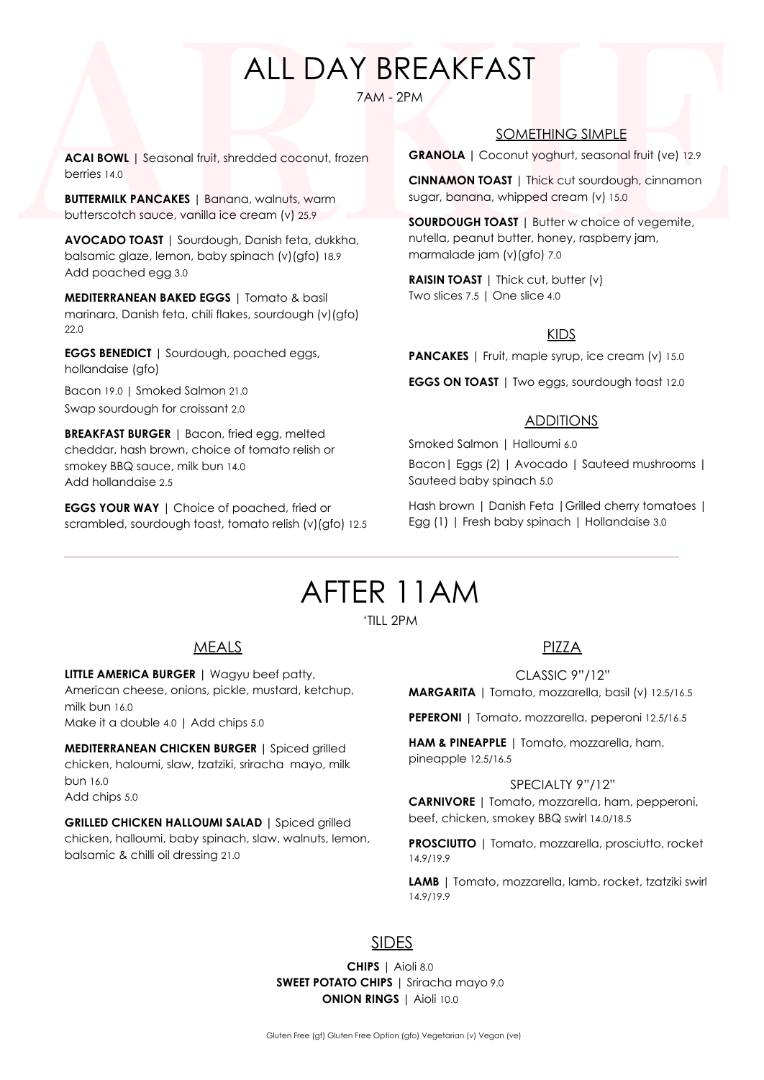# ALL DAY BREAKFAST

7AM - 2PM

**ACAI BOWL** | Seasonal fruit, shredded coconut, frozen berries 14.0

**BUTTERMILK PANCAKES** | Banana, walnuts, warm butterscotch sauce, vanilla ice cream (v) 25.9

**AVOCADO TOAST** | Sourdough, Danish feta, dukkha, balsamic glaze, lemon, baby spinach (v)(gfo) 18.9 Add poached egg 3.0

**MEDITERRANEAN BAKED EGGS** | Tomato & basil marinara, Danish feta, chili flakes, sourdough (v)(gfo) 22.0

**EGGS BENEDICT** | Sourdough, poached eggs, hollandaise (gfo)

Bacon 19.0 | Smoked Salmon 21.0

Swap sourdough for croissant 2.0

**BREAKFAST BURGER** | Bacon, fried egg, melted cheddar, hash brown, choice of tomato relish or smokey BBQ sauce, milk bun 14.0 Add hollandaise 2.5

**EGGS YOUR WAY** | Choice of poached, fried or scrambled, sourdough toast, tomato relish (v)(gfo) 12.5

#### SOMETHING SIMPLE

**GRANOLA |** Coconut yoghurt, seasonal fruit (ve) 12.9

**CINNAMON TOAST** | Thick cut sourdough, cinnamon sugar, banana, whipped cream (v) 15.0

**SOURDOUGH TOAST** | Butter w choice of vegemite, nutella, peanut butter, honey, raspberry jam, marmalade jam (v)(gfo) 7.0

**RAISIN TOAST** | Thick cut, butter (v) Two slices 7.5 | One slice 4.0

### KIDS

**PANCAKES** | Fruit, maple syrup, ice cream (v) 15.0

**EGGS ON TOAST** | Two eggs, sourdough toast 12.0

#### ADDITIONS

Smoked Salmon | Halloumi 6.0 Bacon | Eggs (2) | Avocado | Sauteed mushrooms | Sauteed baby spinach 5.0

Hash brown | Danish Feta |Grilled cherry tomatoes | Egg (1) | Fresh baby spinach | Hollandaise 3.0

# AFTER 11AM

 $\_$  , and the state of the state of the state of the state of the state of the state of the state of the state of the state of the state of the state of the state of the state of the state of the state of the state of the

'TILL 2PM

## MEALS

**LITTLE AMERICA BURGER** | Waayu beef patty, American cheese, onions, pickle, mustard, ketchup, milk bun 16.0 Make it a double 4.0 | Add chips 5.0

**MEDITERRANEAN CHICKEN BURGER |** Spiced grilled chicken, haloumi, slaw, tzatziki, sriracha mayo, milk bun 16.0 Add chips 5.0

**GRILLED CHICKEN HALLOUMI SALAD |** Spiced grilled chicken, halloumi, baby spinach, slaw, walnuts, lemon, balsamic & chilli oil dressing 21.0

# PIZZA

CLASSIC 9"/12"

**MARGARITA** | Tomato, mozzarella, basil (v) 12.5/16.5

**PEPERONI** | Tomato, mozzarella, peperoni 12.5/16.5

**HAM & PINEAPPLE** | Tomato, mozzarella, ham, pineapple 12.5/16.5

#### SPECIALTY 9"/12"

**CARNIVORE** | Tomato, mozzarella, ham, pepperoni, beef, chicken, smokey BBQ swirl 14.0/18.5

**PROSCIUTTO** | Tomato, mozzarella, prosciutto, rocket 14.9/19.9

**LAMB** | Tomato, mozzarella, lamb, rocket, tzatziki swirl 14.9/19.9

## SIDES

**CHIPS** | Aioli 8.0 **SWEET POTATO CHIPS** | Sriracha mayo 9.0 **ONION RINGS** | Aioli 10.0